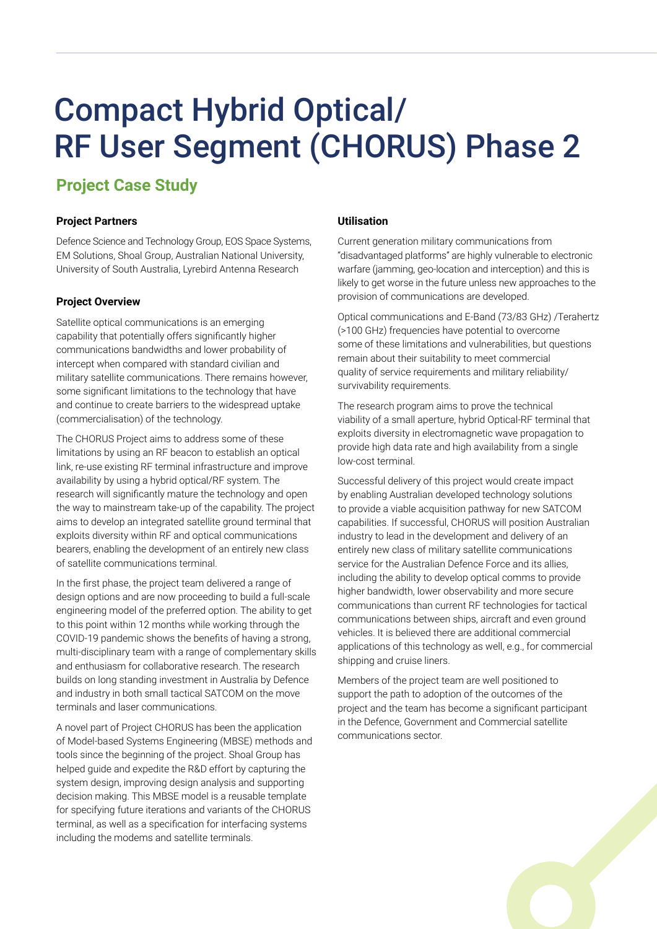# Compact Hybrid Optical/ RF User Segment (CHORUS) Phase 2

# **Project Case Study**

# **Project Partners**

Defence Science and Technology Group, EOS Space Systems, EM Solutions, Shoal Group, Australian National University, University of South Australia, Lyrebird Antenna Research

## **Project Overview**

Satellite optical communications is an emerging capability that potentially offers significantly higher communications bandwidths and lower probability of intercept when compared with standard civilian and military satellite communications. There remains however, some significant limitations to the technology that have and continue to create barriers to the widespread uptake (commercialisation) of the technology.

The CHORUS Project aims to address some of these limitations by using an RF beacon to establish an optical link, re-use existing RF terminal infrastructure and improve availability by using a hybrid optical/RF system. The research will significantly mature the technology and open the way to mainstream take-up of the capability. The project aims to develop an integrated satellite ground terminal that exploits diversity within RF and optical communications bearers, enabling the development of an entirely new class of satellite communications terminal.

In the first phase, the project team delivered a range of design options and are now proceeding to build a full-scale engineering model of the preferred option. The ability to get to this point within 12 months while working through the COVID-19 pandemic shows the benefits of having a strong, multi-disciplinary team with a range of complementary skills and enthusiasm for collaborative research. The research builds on long standing investment in Australia by Defence and industry in both small tactical SATCOM on the move terminals and laser communications.

A novel part of Project CHORUS has been the application of Model-based Systems Engineering (MBSE) methods and tools since the beginning of the project. Shoal Group has helped guide and expedite the R&D effort by capturing the system design, improving design analysis and supporting decision making. This MBSE model is a reusable template for specifying future iterations and variants of the CHORUS terminal, as well as a specification for interfacing systems including the modems and satellite terminals.

### **Utilisation**

Current generation military communications from "disadvantaged platforms" are highly vulnerable to electronic warfare (jamming, geo-location and interception) and this is likely to get worse in the future unless new approaches to the provision of communications are developed.

Optical communications and E-Band (73/83 GHz) /Terahertz (>100 GHz) frequencies have potential to overcome some of these limitations and vulnerabilities, but questions remain about their suitability to meet commercial quality of service requirements and military reliability/ survivability requirements.

The research program aims to prove the technical viability of a small aperture, hybrid Optical-RF terminal that exploits diversity in electromagnetic wave propagation to provide high data rate and high availability from a single low-cost terminal.

Successful delivery of this project would create impact by enabling Australian developed technology solutions to provide a viable acquisition pathway for new SATCOM capabilities. If successful, CHORUS will position Australian industry to lead in the development and delivery of an entirely new class of military satellite communications service for the Australian Defence Force and its allies, including the ability to develop optical comms to provide higher bandwidth, lower observability and more secure communications than current RF technologies for tactical communications between ships, aircraft and even ground vehicles. It is believed there are additional commercial applications of this technology as well, e.g., for commercial shipping and cruise liners.

Members of the project team are well positioned to support the path to adoption of the outcomes of the project and the team has become a significant participant in the Defence, Government and Commercial satellite communications sector.